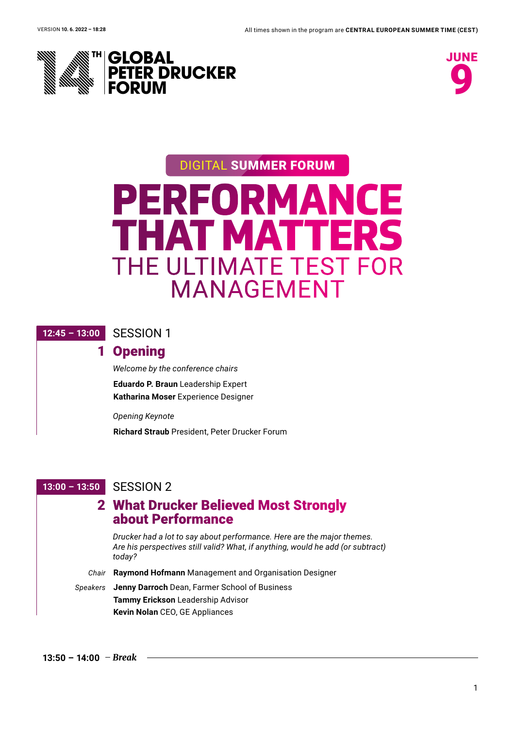



# **PERFORMANCE THAT MATT** THE ULTIMATE TEST FOR MANAGEMENT DIGITAL SUMMER FORUM

#### **12:45 – 13:00** SESSION 1

# 1 Opening

*Welcome by the conference chairs*  **Eduardo P. Braun** Leadership Expert **Katharina Moser** Experience Designer

*Opening Keynote*

**Richard Straub** President, Peter Drucker Forum

### **13:00 – 13:50** SESSION 2

# 2 What Drucker Believed Most Strongly **<sup>W</sup>** about Performance

*Drucker had a lot to say about performance. Here are the major themes. Are his perspectives still valid? What, if anything, would he add (or subtract) today?* 

*Chair* **Raymond Hofmann** Management and Organisation Designer

#### *Speakers* **Jenny Darroch** Dean, Farmer School of Business **Tammy Erickson** Leadership Advisor **Kevin Nolan** CEO, GE Appliances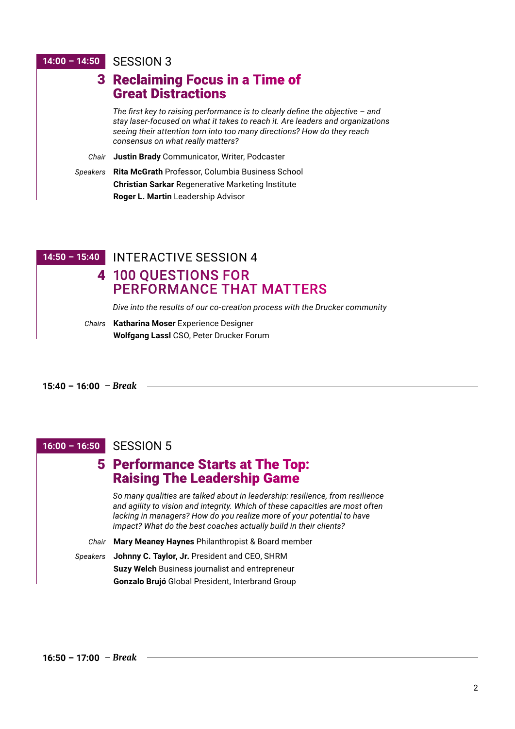#### **14:00 – 14:50** SESSION 3

|          | 3 Reclaiming Focus in a Time of<br><b>Great Distractions</b>                                                                                                                                                                                                                      |
|----------|-----------------------------------------------------------------------------------------------------------------------------------------------------------------------------------------------------------------------------------------------------------------------------------|
|          | The first key to raising performance is to clearly define the objective $-$ and<br>stay laser-focused on what it takes to reach it. Are leaders and organizations<br>seeing their attention torn into too many directions? How do they reach<br>consensus on what really matters? |
| Chair    | Justin Brady Communicator, Writer, Podcaster                                                                                                                                                                                                                                      |
| Speakers | Rita McGrath Professor, Columbia Business School                                                                                                                                                                                                                                  |
|          | <b>Christian Sarkar Regenerative Marketing Institute</b>                                                                                                                                                                                                                          |
|          | Roger L. Martin Leadership Advisor                                                                                                                                                                                                                                                |

**14:50 – 15:40** INTERACTIVE SESSION 4

4 100 QUESTIONS FOR PERFORMANCE THAT MATTERS

*Dive into the results of our co-creation process with the Drucker community*

*Chairs* **Katharina Moser** Experience Designer **Wolfgang Lassl** CSO, Peter Drucker Forum

#### **15:40 – 16:00** *Break*

### **16:00 – 16:50** SESSION 5

# 5 Performance Starts at The Top: **Raising The Leadership Game**

*So many qualities are talked about in leadership: resilience, from resilience and agility to vision and integrity. Which of these capacities are most often lacking in managers? How do you realize more of your potential to have impact? What do the best coaches actually build in their clients?* 

- *Chair* **Mary Meaney Haynes** Philanthropist & Board member
- *Speakers* **Johnny C. Taylor, Jr.** President and CEO, SHRM **Suzy Welch** Business journalist and entrepreneur **Gonzalo Brujó** Global President, Interbrand Group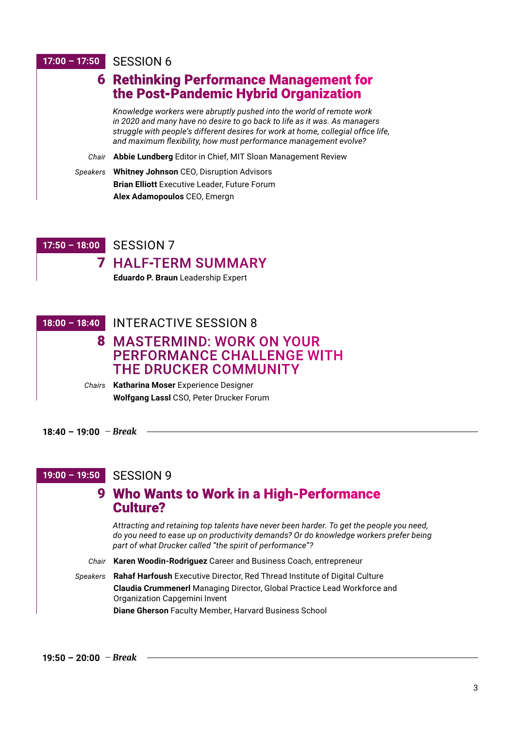#### **17:00 – 17:50** SESSION 6

|          | <b>6 Rethinking Performance Management for</b><br>the Post-Pandemic Hybrid Organization                                                                                                                                                                                                                    |
|----------|------------------------------------------------------------------------------------------------------------------------------------------------------------------------------------------------------------------------------------------------------------------------------------------------------------|
|          | Knowledge workers were abruptly pushed into the world of remote work<br>in 2020 and many have no desire to go back to life as it was. As managers<br>struggle with people's different desires for work at home, collegial office life,<br>and maximum flexibility, how must performance management evolve? |
| Chair    | Abbie Lundberg Editor in Chief, MIT Sloan Management Review                                                                                                                                                                                                                                                |
| Speakers | <b>Whitney Johnson CEO, Disruption Advisors</b>                                                                                                                                                                                                                                                            |
|          | <b>Brian Elliott</b> Executive Leader, Future Forum                                                                                                                                                                                                                                                        |
|          | Alex Adamopoulos CEO, Emergn                                                                                                                                                                                                                                                                               |

### **17:50 – 18:00** SESSION 7

7 HALF-TERM SUMMARY

**Eduardo P. Braun** Leadership Expert

| 18:00 - 18:40 INTERACTIVE SESSION 8            |
|------------------------------------------------|
| <b>8 MASTERMIND: WORK ON YOUR</b>              |
| <b>PERFORMANCE CHALLENGE WITH</b>              |
| <b>THE DRUCKER COMMUNITY</b>                   |
| Chairs Katharina Moser Experience Designer     |
| <b>Wolfgang LassI</b> CSO, Peter Drucker Forum |

#### **18:40 – 19:00** *Break*

**19:00 – 19:50** SESSION 9

## 9 Who Wants to Work in a High-Performance **<sup>W</sup>** Culture?

*Attracting and retaining top talents have never been harder. To get the people you need, do you need to ease up on productivity demands? Or do knowledge workers prefer being part of what Drucker called "the spirit of performance"?*

*Chair* **Karen Woodin-Rodriguez** Career and Business Coach, entrepreneur

*Speakers* **Rahaf Harfoush** Executive Director, Red Thread Institute of Digital Culture **Claudia Crummenerl** Managing Director, Global Practice Lead Workforce and Organization Capgemini Invent **Diane Gherson** Faculty Member, Harvard Business School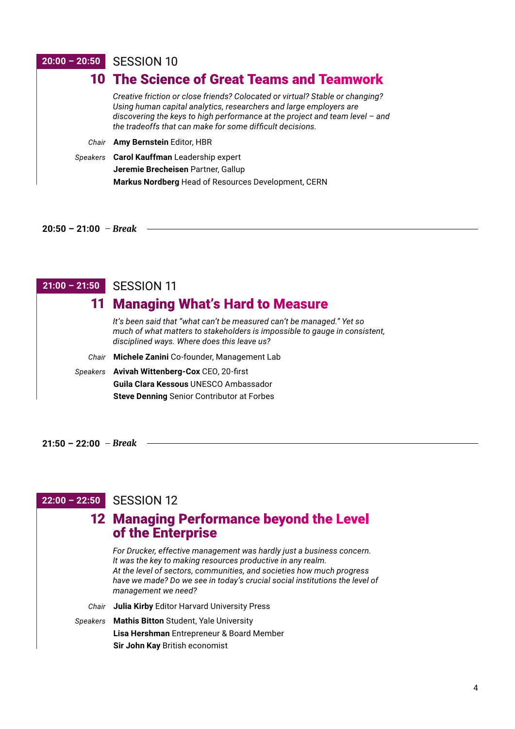#### **20:00 – 20:50** SESSION 10

| 10 The Science of Great Teams and Teamwork                                                                                                                                                                                                                                                       |
|--------------------------------------------------------------------------------------------------------------------------------------------------------------------------------------------------------------------------------------------------------------------------------------------------|
| Creative friction or close friends? Colocated or virtual? Stable or changing?<br>Using human capital analytics, researchers and large employers are<br>discovering the keys to high performance at the project and team level - and<br>the tradeoffs that can make for some difficult decisions. |
| Chair Amy Bernstein Editor, HBR                                                                                                                                                                                                                                                                  |
| Speakers Carol Kauffman Leadership expert<br>Jeremie Brecheisen Partner, Gallup<br>Markus Nordberg Head of Resources Development, CERN                                                                                                                                                           |

**20:50 – 21:00** *Break*

### **21:00 – 21:50** SESSION 11 11 Managing What's Hard to Measure

|       | <u>II Wanaying Wilats Hard to Weasure</u>                                                                                                                                                          |
|-------|----------------------------------------------------------------------------------------------------------------------------------------------------------------------------------------------------|
|       | It's been said that "what can't be measured can't be managed." Yet so<br>much of what matters to stakeholders is impossible to gauge in consistent,<br>disciplined ways. Where does this leave us? |
| Chair | Michele Zanini Co-founder, Management Lab                                                                                                                                                          |
|       | Speakers Avivah Wittenberg-Cox CEO, 20-first                                                                                                                                                       |
|       | <b>Guila Clara Kessous UNESCO Ambassador</b>                                                                                                                                                       |
|       | <b>Steve Denning Senior Contributor at Forbes</b>                                                                                                                                                  |
|       |                                                                                                                                                                                                    |

**21:50 – 22:00** *Break*

### **22:00 – 22:50** SESSION 12

# 12 Managing Performance beyond the Level of the Enterprise

*For Drucker, effective management was hardly just a business concern. It was the key to making resources productive in any realm. At the level of sectors, communities, and societies how much progress have we made? Do we see in today's crucial social institutions the level of management we need?*

*Chair* **Julia Kirby** Editor Harvard University Press

*Speakers* **Mathis Bitton** Student, Yale University

**Lisa Hershman** Entrepreneur & Board Member **Sir John Kay** British economist